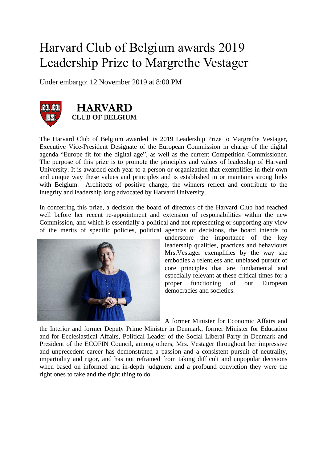## Harvard Club of Belgium awards 2019 Leadership Prize to Margrethe Vestager

Under embargo: 12 November 2019 at 8:00 PM



The Harvard Club of Belgium awarded its 2019 Leadership Prize to Margrethe Vestager, Executive Vice-President Designate of the European Commission in charge of the digital agenda "Europe fit for the digital age", as well as the current Competition Commissioner. The purpose of this prize is to promote the principles and values of leadership of Harvard University. It is awarded each year to a person or organization that exemplifies in their own and unique way these values and principles and is established in or maintains strong links with Belgium. Architects of positive change, the winners reflect and contribute to the integrity and leadership long advocated by Harvard University.

In conferring this prize, a decision the board of directors of the Harvard Club had reached well before her recent re-appointment and extension of responsibilities within the new Commission, and which is essentially a-political and not representing or supporting any view of the merits of specific policies, political agendas or decisions, the board intends to



underscore the importance of the key leadership qualities, practices and behaviours Mrs.Vestager exemplifies by the way she embodies a relentless and unbiased pursuit of core principles that are fundamental and especially relevant at these critical times for a proper functioning of our European democracies and societies.

A former Minister for Economic Affairs and

the Interior and former Deputy Prime Minister in Denmark, former Minister for Education and for Ecclesiastical Affairs, Political Leader of the Social Liberal Party in Denmark and President of the ECOFIN Council, among others, Mrs. Vestager throughout her impressive and unprecedent career has demonstrated a passion and a consistent pursuit of neutrality, impartiality and rigor, and has not refrained from taking difficult and unpopular decisions when based on informed and in-depth judgment and a profound conviction they were the right ones to take and the right thing to do.